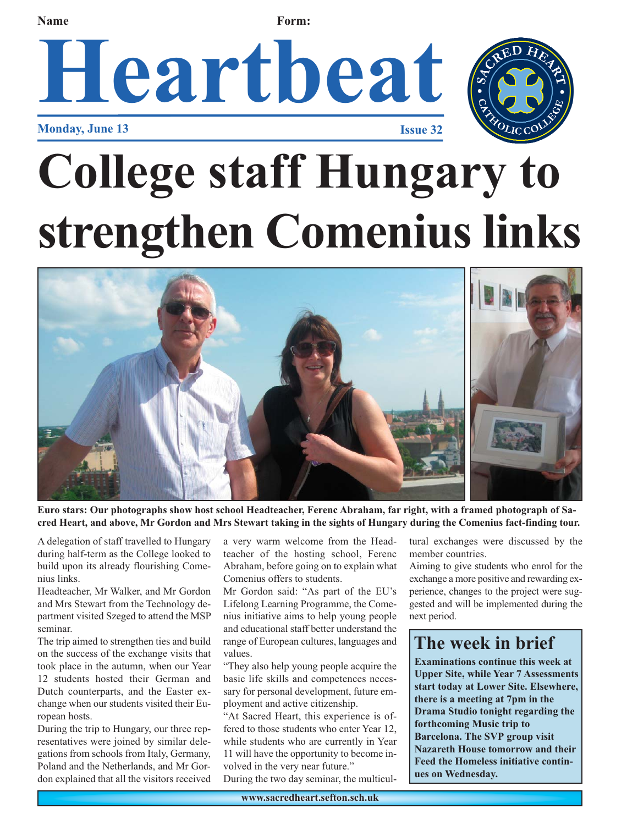**Name Form:** 

## **Heartbeat Monday, June 13 Issue 32**



## **College staff Hungary to strengthen Comenius links**



**Euro stars: Our photographs show host school Headteacher, Ferenc Abraham, far right, with a framed photograph of Sacred Heart, and above, Mr Gordon and Mrs Stewart taking in the sights of Hungary during the Comenius fact-finding tour.** 

A delegation of staff travelled to Hungary during half-term as the College looked to build upon its already flourishing Comenius links.

Headteacher, Mr Walker, and Mr Gordon and Mrs Stewart from the Technology department visited Szeged to attend the MSP seminar.

The trip aimed to strengthen ties and build on the success of the exchange visits that took place in the autumn, when our Year 12 students hosted their German and Dutch counterparts, and the Easter exchange when our students visited their European hosts.

During the trip to Hungary, our three representatives were joined by similar delegations from schools from Italy, Germany, Poland and the Netherlands, and Mr Gordon explained that all the visitors received

a very warm welcome from the Headteacher of the hosting school, Ferenc Abraham, before going on to explain what Comenius offers to students.

Mr Gordon said: "As part of the EU's Lifelong Learning Programme, the Comenius initiative aims to help young people and educational staff better understand the range of European cultures, languages and values.

"They also help young people acquire the basic life skills and competences necessary for personal development, future employment and active citizenship.

"At Sacred Heart, this experience is offered to those students who enter Year 12, while students who are currently in Year 11 will have the opportunity to become involved in the very near future." During the two day seminar, the multicul-

tural exchanges were discussed by the member countries.

Aiming to give students who enrol for the exchange a more positive and rewarding experience, changes to the project were suggested and will be implemented during the next period.

## **The week in brief**

**Examinations continue this week at Upper Site, while Year 7 Assessments start today at Lower Site. Elsewhere, there is a meeting at 7pm in the Drama Studio tonight regarding the forthcoming Music trip to Barcelona. The SVP group visit Nazareth House tomorrow and their Feed the Homeless initiative continues on Wednesday.**